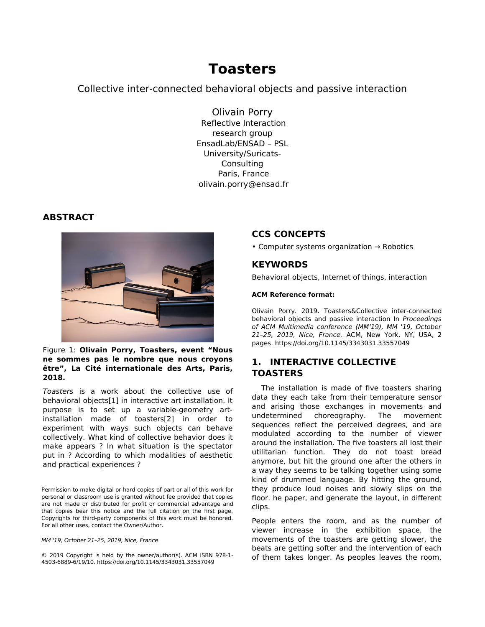# **Toasters**

## Collective inter-connected behavioral objects and passive interaction

Olivain Porry Reflective Interaction research group EnsadLab/ENSAD – PSL University/Suricats-Consulting Paris, France [olivain.porry@ensad.fr](mailto:olivain.porry@ensad.fr)

## **ABSTRACT**



Figure 1: **Olivain Porry, Toasters, event "Nous ne sommes pas le nombre que nous croyons être", La Cité internationale des Arts, Paris, 2018.**

Toasters is a work about the collective use of behavioral objects[1] in interactive art installation. It purpose is to set up a variable-geometry artinstallation made of toasters[2] in order to experiment with ways such objects can behave collectively. What kind of collective behavior does it make appears ? In what situation is the spectator put in ? According to which modalities of aesthetic and practical experiences ?

Permission to make digital or hard copies of part or all of this work for personal or classroom use is granted without fee provided that copies are not made or distributed for profit or commercial advantage and that copies bear this notice and the full citation on the first page. Copyrights for third-party components of this work must be honored. For all other uses, contact the Owner/Author.

MM '19, October 21–25, 2019, Nice, France

© 2019 Copyright is held by the owner/author(s). ACM ISBN 978-1- 4503-6889-6/19/10. https://doi.org/10.1145/3343031.33557049

# **CCS CONCEPTS**

• Computer systems organization → Robotics

## **KEYWORDS**

Behavioral objects, Internet of things, interaction

#### **ACM Reference format:**

Olivain Porry. 2019. Toasters&Collective inter-connected behavioral objects and passive interaction In Proceedings of ACM Multimedia conference (MM'19), MM '19, October 21–25, 2019, Nice, France. ACM, New York, NY, USA, 2 pages. https://doi.org/10.1145/3343031.33557049

# **1. INTERACTIVE COLLECTIVE TOASTERS**

The installation is made of five toasters sharing data they each take from their temperature sensor and arising those exchanges in movements and undetermined choreography. The movement sequences reflect the perceived degrees, and are modulated according to the number of viewer around the installation. The five toasters all lost their utilitarian function. They do not toast bread anymore, but hit the ground one after the others in a way they seems to be talking together using some kind of drummed language. By hitting the ground, they produce loud noises and slowly slips on the floor. he paper, and generate the layout, in different clips.

People enters the room, and as the number of viewer increase in the exhibition space, the movements of the toasters are getting slower, the beats are getting softer and the intervention of each of them takes longer. As peoples leaves the room,